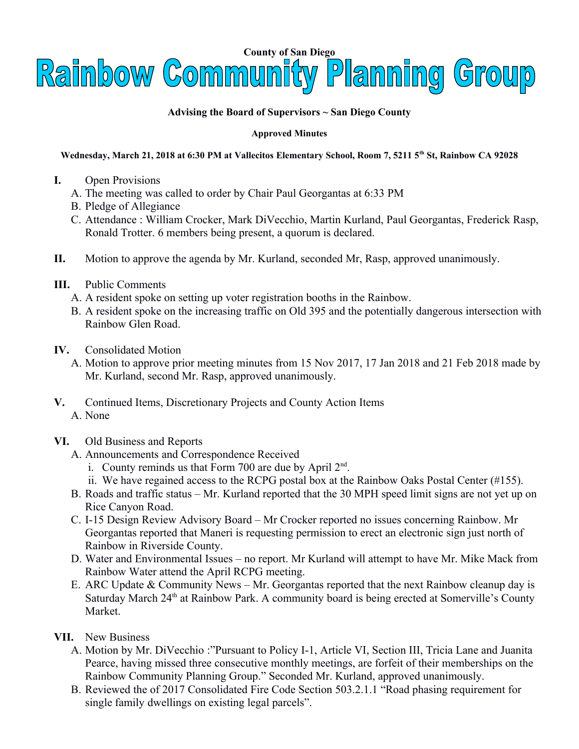

## **Advising the Board of Supervisors ~ San Diego County**

## **Approved Minutes**

## **Wednesday, March 21, 2018 at 6:30 PM at Vallecitos Elementary School, Room 7, 5211 5th St, Rainbow CA 92028**

- **I.** Open Provisions
	- A. The meeting was called to order by Chair Paul Georgantas at 6:33 PM
	- B. Pledge of Allegiance
	- C. Attendance : William Crocker, Mark DiVecchio, Martin Kurland, Paul Georgantas, Frederick Rasp, Ronald Trotter. 6 members being present, a quorum is declared.
- **II.** Motion to approve the agenda by Mr. Kurland, seconded Mr, Rasp, approved unanimously.
- **III.** Public Comments
	- A. A resident spoke on setting up voter registration booths in the Rainbow.
	- B. A resident spoke on the increasing traffic on Old 395 and the potentially dangerous intersection with Rainbow Glen Road.
- **IV.** Consolidated Motion
	- A. Motion to approve prior meeting minutes from 15 Nov 2017, 17 Jan 2018 and 21 Feb 2018 made by Mr. Kurland, second Mr. Rasp, approved unanimously.
- **V.** Continued Items, Discretionary Projects and County Action Items A. None
- **VI.** Old Business and Reports
	- A. Announcements and Correspondence Received
		- i. County reminds us that Form 700 are due by April 2<sup>nd</sup>.
		- ii. We have regained access to the RCPG postal box at the Rainbow Oaks Postal Center (#155).
	- B. Roads and traffic status Mr. Kurland reported that the 30 MPH speed limit signs are not yet up on Rice Canyon Road.
	- C. I-15 Design Review Advisory Board Mr Crocker reported no issues concerning Rainbow. Mr Georgantas reported that Maneri is requesting permission to erect an electronic sign just north of Rainbow in Riverside County.
	- D. Water and Environmental Issues no report. Mr Kurland will attempt to have Mr. Mike Mack from Rainbow Water attend the April RCPG meeting.
	- E. ARC Update & Community News Mr. Georgantas reported that the next Rainbow cleanup day is Saturday March 24<sup>th</sup> at Rainbow Park. A community board is being erected at Somerville's County Market.
- **VII.** New Business
	- A. Motion by Mr. DiVecchio :"Pursuant to Policy I-1, Article VI, Section III, Tricia Lane and Juanita Pearce, having missed three consecutive monthly meetings, are forfeit of their memberships on the Rainbow Community Planning Group." Seconded Mr. Kurland, approved unanimously.
	- B. Reviewed the of 2017 Consolidated Fire Code Section 503.2.1.1 "Road phasing requirement for single family dwellings on existing legal parcels".